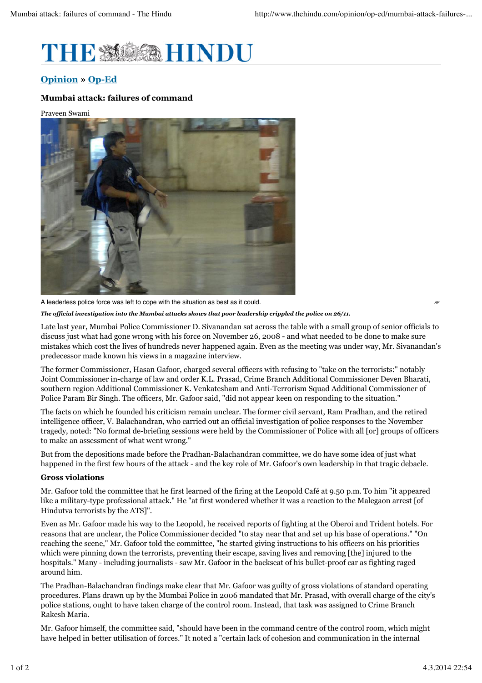

# **Opinion » Op-Ed**

# **Mumbai attack: failures of command**

#### Praveen Swami



A leaderless police force was left to cope with the situation as best as it could.

*The official investigation into the Mumbai attacks shows that poor leadership crippled the police on 26/11.*

Late last year, Mumbai Police Commissioner D. Sivanandan sat across the table with a small group of senior officials to discuss just what had gone wrong with his force on November 26, 2008 - and what needed to be done to make sure mistakes which cost the lives of hundreds never happened again. Even as the meeting was under way, Mr. Sivanandan's predecessor made known his views in a magazine interview.

The former Commissioner, Hasan Gafoor, charged several officers with refusing to "take on the terrorists:" notably Joint Commissioner in-charge of law and order K.L. Prasad, Crime Branch Additional Commissioner Deven Bharati, southern region Additional Commissioner K. Venkatesham and Anti-Terrorism Squad Additional Commissioner of Police Param Bir Singh. The officers, Mr. Gafoor said, "did not appear keen on responding to the situation."

The facts on which he founded his criticism remain unclear. The former civil servant, Ram Pradhan, and the retired intelligence officer, V. Balachandran, who carried out an official investigation of police responses to the November tragedy, noted: "No formal de-briefing sessions were held by the Commissioner of Police with all [or] groups of officers to make an assessment of what went wrong."

But from the depositions made before the Pradhan-Balachandran committee, we do have some idea of just what happened in the first few hours of the attack - and the key role of Mr. Gafoor's own leadership in that tragic debacle.

### **Gross violations**

Mr. Gafoor told the committee that he first learned of the firing at the Leopold Café at 9.50 p.m. To him "it appeared like a military-type professional attack." He "at first wondered whether it was a reaction to the Malegaon arrest [of Hindutva terrorists by the ATS]".

Even as Mr. Gafoor made his way to the Leopold, he received reports of fighting at the Oberoi and Trident hotels. For reasons that are unclear, the Police Commissioner decided "to stay near that and set up his base of operations." "On reaching the scene," Mr. Gafoor told the committee, "he started giving instructions to his officers on his priorities which were pinning down the terrorists, preventing their escape, saving lives and removing [the] injured to the hospitals." Many - including journalists - saw Mr. Gafoor in the backseat of his bullet-proof car as fighting raged around him.

The Pradhan-Balachandran findings make clear that Mr. Gafoor was guilty of gross violations of standard operating procedures. Plans drawn up by the Mumbai Police in 2006 mandated that Mr. Prasad, with overall charge of the city's police stations, ought to have taken charge of the control room. Instead, that task was assigned to Crime Branch Rakesh Maria.

Mr. Gafoor himself, the committee said, "should have been in the command centre of the control room, which might have helped in better utilisation of forces." It noted a "certain lack of cohesion and communication in the internal

*AP*